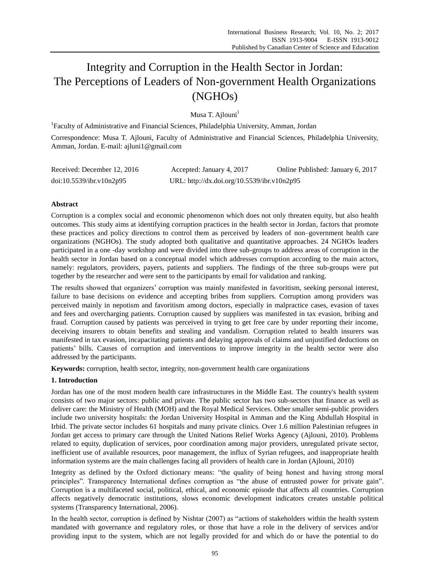# Integrity and Corruption in the Health Sector in Jordan: The Perceptions of Leaders of Non-government Health Organizations (NGHOs)

Musa T. Ailouni $<sup>1</sup>$ </sup>

<sup>1</sup>Faculty of Administrative and Financial Sciences, Philadelphia University, Amman, Jordan Correspondence: Musa T. Ajlouni, Faculty of Administrative and Financial Sciences, Philadelphia University, Amman, Jordan. E-mail: ajluni1@gmail.com

| Received: December 12, 2016 | Accepted: January 4, 2017                   | Online Published: January 6, 2017 |
|-----------------------------|---------------------------------------------|-----------------------------------|
| doi:10.5539/ibr.v10n2p95    | URL: http://dx.doi.org/10.5539/ibr.v10n2p95 |                                   |

# **Abstract**

Corruption is a complex social and economic phenomenon which does not only threaten equity, but also health outcomes. This study aims at identifying corruption practices in the health sector in Jordan, factors that promote these practices and policy directions to control them as perceived by leaders of non–government health care organizations (NGHOs). The study adopted both qualitative and quantitative approaches. 24 NGHOs leaders participated in a one -day workshop and were divided into three sub-groups to address areas of corruption in the health sector in Jordan based on a conceptual model which addresses corruption according to the main actors, namely: regulators, providers, payers, patients and suppliers. The findings of the three sub-groups were put together by the researcher and were sent to the participants by email for validation and ranking.

The results showed that organizers' corruption was mainly manifested in favoritism, seeking personal interest, failure to base decisions on evidence and accepting bribes from suppliers. Corruption among providers was perceived mainly in nepotism and favoritism among doctors, especially in malpractice cases, evasion of taxes and fees and overcharging patients. Corruption caused by suppliers was manifested in tax evasion, bribing and fraud. Corruption caused by patients was perceived in trying to get free care by under reporting their income, deceiving insurers to obtain benefits and stealing and vandalism. Corruption related to health insurers was manifested in tax evasion, incapacitating patients and delaying approvals of claims and unjustified deductions on patients' bills. Causes of corruption and interventions to improve integrity in the health sector were also addressed by the participants.

**Keywords:** corruption, health sector, integrity, non-government health care organizations

## **1. Introduction**

Jordan has one of the most modern health care infrastructures in the Middle East. The country's health system consists of two major sectors: public and private. The public sector has two sub-sectors that finance as well as deliver care: the Ministry of Health (MOH) and the Royal Medical Services. Other smaller semi-public providers include two university hospitals: the Jordan University Hospital in Amman and the King Abdullah Hospital in Irbid. The private sector includes 61 hospitals and many private clinics. Over 1.6 million Palestinian refugees in Jordan get access to primary care through the United Nations Relief Works Agency (Ajlouni, 2010). Problems related to equity, duplication of services, poor coordination among major providers, unregulated private sector, inefficient use of available resources, poor management, the influx of Syrian refugees, and inappropriate health information systems are the main challenges facing all providers of health care in Jordan (Ajlouni, 2010)

Integrity as defined by the Oxford dictionary means: "the quality of being honest and having strong moral principles". Transparency International defines corruption as "the abuse of entrusted power for private gain". Corruption is a multifaceted social, political, ethical, and economic episode that affects all countries. Corruption affects negatively democratic institutions, slows economic development indicators creates unstable political systems (Transparency International, 2006).

In the health sector, corruption is defined by Nishtar (2007) as "actions of stakeholders within the health system mandated with governance and regulatory roles, or those that have a role in the delivery of services and/or providing input to the system, which are not legally provided for and which do or have the potential to do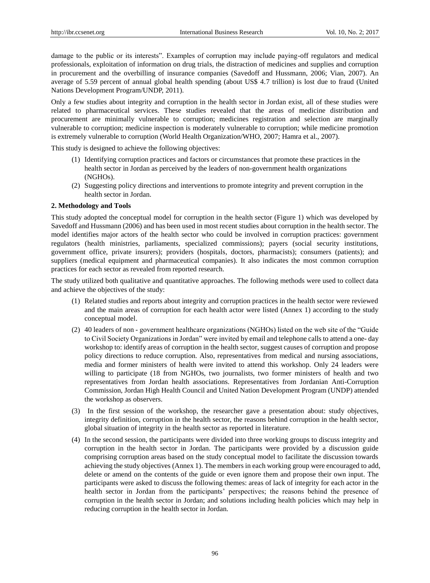damage to the public or its interests". Examples of corruption may include paying-off regulators and medical professionals, exploitation of information on drug trials, the distraction of medicines and supplies and corruption in procurement and the overbilling of insurance companies (Savedoff and Hussmann, 2006; Vian, 2007). An average of 5.59 percent of annual global health spending (about US\$ 4.7 trillion) is lost due to fraud (United Nations Development Program/UNDP, 2011).

Only a few studies about integrity and corruption in the health sector in Jordan exist, all of these studies were related to pharmaceutical services. These studies revealed that the areas of medicine distribution and procurement are minimally vulnerable to corruption; medicines registration and selection are marginally vulnerable to corruption; medicine inspection is moderately vulnerable to corruption; while medicine promotion is extremely vulnerable to corruption (World Health Organization/WHO, 2007; Hamra et al., 2007).

This study is designed to achieve the following objectives:

- (1) Identifying corruption practices and factors or circumstances that promote these practices in the health sector in Jordan as perceived by the leaders of non-government health organizations (NGHOs).
- (2) Suggesting policy directions and interventions to promote integrity and prevent corruption in the health sector in Jordan.

## **2. Methodology and Tools**

This study adopted the conceptual model for corruption in the health sector (Figure 1) which was developed by Savedoff and Hussmann (2006) and has been used in most recent studies about corruption in the health sector. The model identifies major actors of the health sector who could be involved in corruption practices: government regulators (health ministries, parliaments, specialized commissions); payers (social security institutions, government office, private insurers); providers (hospitals, doctors, pharmacists); consumers (patients); and suppliers (medical equipment and pharmaceutical companies). It also indicates the most common corruption practices for each sector as revealed from reported research.

The study utilized both qualitative and quantitative approaches. The following methods were used to collect data and achieve the objectives of the study:

- (1) Related studies and reports about integrity and corruption practices in the health sector were reviewed and the main areas of corruption for each health actor were listed (Annex 1) according to the study conceptual model.
- (2) 40 leaders of non government healthcare organizations (NGHOs) listed on the web site of the "Guide to Civil Society Organizations in Jordan" were invited by email and telephone calls to attend a one- day workshop to: identify areas of corruption in the health sector, suggest causes of corruption and propose policy directions to reduce corruption. Also, representatives from medical and nursing associations, media and former ministers of health were invited to attend this workshop. Only 24 leaders were willing to participate (18 from NGHOs, two journalists, two former ministers of health and two representatives from Jordan health associations. Representatives from Jordanian Anti-Corruption Commission, Jordan High Health Council and United Nation Development Program (UNDP) attended the workshop as observers.
- (3) In the first session of the workshop, the researcher gave a presentation about: study objectives, integrity definition, corruption in the health sector, the reasons behind corruption in the health sector, global situation of integrity in the health sector as reported in literature.
- (4) In the second session, the participants were divided into three working groups to discuss integrity and corruption in the health sector in Jordan. The participants were provided by a discussion guide comprising corruption areas based on the study conceptual model to facilitate the discussion towards achieving the study objectives (Annex 1). The members in each working group were encouraged to add, delete or amend on the contents of the guide or even ignore them and propose their own input. The participants were asked to discuss the following themes: areas of lack of integrity for each actor in the health sector in Jordan from the participants' perspectives; the reasons behind the presence of corruption in the health sector in Jordan; and solutions including health policies which may help in reducing corruption in the health sector in Jordan.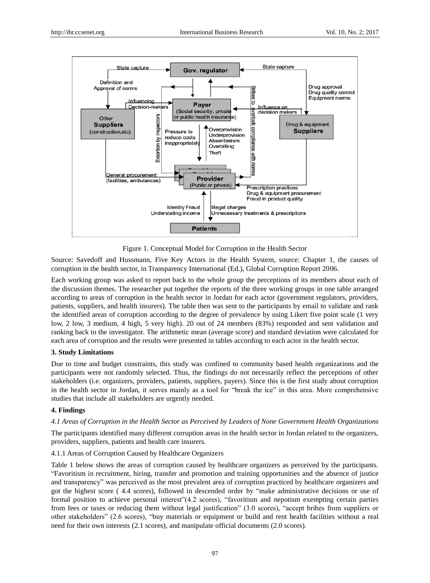

Figure 1. Conceptual Model for Corruption in the Health Sector

Source: Savedoff and Hussmann, Five Key Actors in the Health System, source: Chapter 1, the causes of corruption in the health sector, in Transparency International (Ed.), Global Corruption Report 2006.

Each working group was asked to report back to the whole group the perceptions of its members about each of the discussion themes. The researcher put together the reports of the three working groups in one table arranged according to areas of corruption in the health sector in Jordan for each actor (government regulators, providers, patients, suppliers, and health insurers). The table then was sent to the participants by email to validate and rank the identified areas of corruption according to the degree of prevalence by using Likert five point scale (1 very low, 2 low, 3 medium, 4 high, 5 very high). 20 out of 24 members (83%) responded and sent validation and ranking back to the investigator. The arithmetic mean (average score) and standard deviation were calculated for each area of corruption and the results were presented in tables according to each actor in the health sector.

## **3. Study Limitations**

Due to time and budget constraints, this study was confined to community based health organizations and the participants were not randomly selected. Thus, the findings do not necessarily reflect the perceptions of other stakeholders (i.e. organizers, providers, patients, suppliers, payers). Since this is the first study about corruption in the health sector in Jordan, it serves mainly as a tool for "break the ice" in this area. More comprehensive studies that include all stakeholders are urgently needed.

# **4. Findings**

## *4.1 Areas of Corruption in the Health Sector as Perceived by Leaders of None Government Health Organizations*

The participants identified many different corruption areas in the health sector in Jordan related to the organizers, providers, suppliers, patients and health care insurers.

## 4.1.1 Areas of Corruption Caused by Healthcare Organizers

Table 1 below shows the areas of corruption caused by healthcare organizers as perceived by the participants. "Favoritism in recruitment, hiring, transfer and promotion and training opportunities and the absence of justice and transparency" was perceived as the most prevalent area of corruption practiced by healthcare organizers and got the highest score ( 4.4 scores), followed in descended order by "make administrative decisions or use of formal position to achieve personal interest"(4.2 scores), "favoritism and nepotism exempting certain parties from fees or taxes or reducing them without legal justification" (3.0 scores), "accept bribes from suppliers or other stakeholders" (2.6 scores), "buy materials or equipment or build and rent health facilities without a real need for their own interests (2.1 scores), and manipulate official documents (2.0 scores).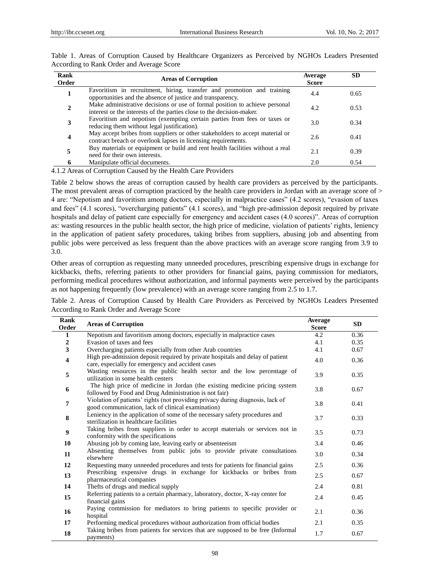| Rank<br>Order | <b>Areas of Corruption</b>                                                                                                                           | Average<br><b>Score</b> | <b>SD</b> |
|---------------|------------------------------------------------------------------------------------------------------------------------------------------------------|-------------------------|-----------|
|               | Favoritism in recruitment, hiring, transfer and promotion and training<br>opportunities and the absence of justice and transparency.                 | 4.4                     | 0.65      |
|               | Make administrative decisions or use of formal position to achieve personal<br>interest or the interests of the parties close to the decision-maker. | 4.2                     | 0.53      |
| 3             | Favoritism and nepotism (exempting certain parties from fees or taxes or<br>reducing them without legal justification).                              | 3.0                     | 0.34      |
| 4             | May accept bribes from suppliers or other stakeholders to accept material or<br>contract breach or overlook lapses in licensing requirements.        | 2.6                     | 0.41      |
|               | Buy materials or equipment or build and rent health facilities without a real<br>need for their own interests.                                       | 2.1                     | 0.39      |
|               | Manipulate official documents.                                                                                                                       | 2.0                     | 0.54      |

Table 1. Areas of Corruption Caused by Healthcare Organizers as Perceived by NGHOs Leaders Presented According to Rank Order and Average Score

4.1.2 Areas of Corruption Caused by the Health Care Providers

Table 2 below shows the areas of corruption caused by health care providers as perceived by the participants. The most prevalent areas of corruption practiced by the health care providers in Jordan with an average score of > 4 are: "Nepotism and favoritism among doctors, especially in malpractice cases" (4.2 scores), "evasion of taxes and fees" (4.1 scores), "overcharging patients" (4.1 scores), and "high pre-admission deposit required by private hospitals and delay of patient care especially for emergency and accident cases (4.0 scores)". Areas of corruption as: wasting resources in the public health sector, the high price of medicine, violation of patients' rights, leniency in the application of patient safety procedures, taking bribes from suppliers, abusing job and absenting from public jobs were perceived as less frequent than the above practices with an average score ranging from 3.9 to 3.0.

Other areas of corruption as requesting many unneeded procedures, prescribing expensive drugs in exchange for kickbacks, thefts, referring patients to other providers for financial gains, paying commission for mediators, performing medical procedures without authorization, and informal payments were perceived by the participants as not happening frequently (low prevalence) with an average score ranging from 2.5 to 1.7.

|  | Table 2. Areas of Corruption Caused by Health Care Providers as Perceived by NGHOs Leaders Presented |  |  |  |  |  |  |
|--|------------------------------------------------------------------------------------------------------|--|--|--|--|--|--|
|  | According to Rank Order and Average Score                                                            |  |  |  |  |  |  |

| Rank<br>Order           | <b>Areas of Corruption</b>                                                                                                          | Average<br><b>Score</b> | <b>SD</b> |
|-------------------------|-------------------------------------------------------------------------------------------------------------------------------------|-------------------------|-----------|
| 1                       | Nepotism and favoritism among doctors, especially in malpractice cases                                                              | 4.2                     | 0.36      |
| $\boldsymbol{2}$        | Evasion of taxes and fees                                                                                                           | 4.1                     | 0.35      |
| $\overline{\mathbf{3}}$ | Overcharging patients especially from other Arab countries                                                                          | 4.1                     | 0.67      |
| $\overline{\mathbf{4}}$ | High pre-admission deposit required by private hospitals and delay of patient<br>care, especially for emergency and accident cases  | 4.0                     | 0.36      |
| 5                       | Wasting resources in the public health sector and the low percentage of<br>utilization in some health centers                       | 3.9                     | 0.35      |
| 6                       | The high price of medicine in Jordan (the existing medicine pricing system<br>followed by Food and Drug Administration is not fair) | 3.8                     | 0.67      |
| $\overline{7}$          | Violation of patients' rights (not providing privacy during diagnosis, lack of<br>good communication, lack of clinical examination) | 3.8                     | 0.41      |
| 8                       | Leniency in the application of some of the necessary safety procedures and<br>sterilization in healthcare facilities                | 3.7                     | 0.33      |
| 9                       | Taking bribes from suppliers in order to accept materials or services not in<br>conformity with the specifications                  | 3.5                     | 0.73      |
| 10                      | Abusing job by coming late, leaving early or absenteeism                                                                            | 3.4                     | 0.46      |
| 11                      | Absenting themselves from public jobs to provide private consultations<br>elsewhere                                                 | 3.0                     | 0.34      |
| 12                      | Requesting many unneeded procedures and tests for patients for financial gains                                                      | 2.5                     | 0.36      |
| 13                      | Prescribing expensive drugs in exchange for kickbacks or bribes from<br>pharmaceutical companies                                    | 2.5                     | 0.67      |
| 14                      | Thefts of drugs and medical supply                                                                                                  | 2.4                     | 0.81      |
| 15                      | Referring patients to a certain pharmacy, laboratory, doctor, X-ray center for<br>financial gains                                   | 2.4                     | 0.45      |
| 16                      | Paying commission for mediators to bring patients to specific provider or<br>hospital                                               | 2.1                     | 0.36      |
| 17                      | Performing medical procedures without authorization from official bodies                                                            | 2.1                     | 0.35      |
| 18                      | Taking bribes from patients for services that are supposed to be free (Informal<br>payments)                                        | 1.7                     | 0.67      |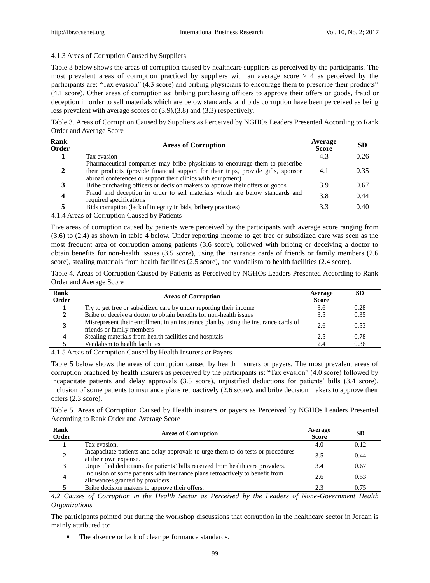## 4.1.3 Areas of Corruption Caused by Suppliers

Table 3 below shows the areas of corruption caused by healthcare suppliers as perceived by the participants. The most prevalent areas of corruption practiced by suppliers with an average score  $> 4$  as perceived by the participants are: "Tax evasion" (4.3 score) and bribing physicians to encourage them to prescribe their products" (4.1 score). Other areas of corruption as: bribing purchasing officers to approve their offers or goods, fraud or deception in order to sell materials which are below standards, and bids corruption have been perceived as being less prevalent with average scores of (3.9),(3.8) and (3.3) respectively.

Table 3. Areas of Corruption Caused by Suppliers as Perceived by NGHOs Leaders Presented According to Rank Order and Average Score

| Rank<br>Order | <b>Areas of Corruption</b>                                                                                                                                                                                                       | Average<br><b>Score</b> | SD   |
|---------------|----------------------------------------------------------------------------------------------------------------------------------------------------------------------------------------------------------------------------------|-------------------------|------|
|               | Tax evasion                                                                                                                                                                                                                      | 4.3                     | 0.26 |
|               | Pharmaceutical companies may bribe physicians to encourage them to prescribe<br>their products (provide financial support for their trips, provide gifts, sponsor<br>abroad conferences or support their clinics with equipment) | 4.1                     | 0.35 |
|               | Bribe purchasing officers or decision makers to approve their offers or goods                                                                                                                                                    | 3.9                     | 0.67 |
| 4             | Fraud and deception in order to sell materials which are below standards and<br>required specifications                                                                                                                          | 3.8                     | 0.44 |
|               | Bids corruption (lack of integrity in bids, bribery practices)                                                                                                                                                                   | 3.3                     | 0.40 |

4.1.4 Areas of Corruption Caused by Patients

Five areas of corruption caused by patients were perceived by the participants with average score ranging from (3.6) to (2.4) as shown in table 4 below. Under reporting income to get free or subsidized care was seen as the most frequent area of corruption among patients (3.6 score), followed with bribing or deceiving a doctor to obtain benefits for non-health issues (3.5 score), using the insurance cards of friends or family members (2.6 score), stealing materials from health facilities (2.5 score), and vandalism to health facilities (2.4 score).

Table 4. Areas of Corruption Caused by Patients as Perceived by NGHOs Leaders Presented According to Rank Order and Average Score

| <b>SD</b> |
|-----------|
| 0.28      |
| 0.35      |
| 0.53      |
| 0.78      |
| 0.36      |
|           |

4.1.5 Areas of Corruption Caused by Health Insurers or Payers

Table 5 below shows the areas of corruption caused by health insurers or payers. The most prevalent areas of corruption practiced by health insurers as perceived by the participants is: "Tax evasion" (4.0 score) followed by incapacitate patients and delay approvals (3.5 score), unjustified deductions for patients' bills (3.4 score), inclusion of some patients to insurance plans retroactively (2.6 score), and bribe decision makers to approve their offers (2.3 score).

Table 5. Areas of Corruption Caused by Health insurers or payers as Perceived by NGHOs Leaders Presented According to Rank Order and Average Score

| Rank<br>Order | <b>Areas of Corruption</b>                                                                                        | Average<br><b>Score</b> | SD.  |
|---------------|-------------------------------------------------------------------------------------------------------------------|-------------------------|------|
|               | Tax evasion.                                                                                                      | 4.0                     | 0.12 |
| $\mathbf{2}$  | Incapacitate patients and delay approvals to urge them to do tests or procedures<br>at their own expense.         | 3.5                     | 0.44 |
|               | Unjustified deductions for patients' bills received from health care providers.                                   | 3.4                     | 0.67 |
| 4             | Inclusion of some patients with insurance plans retroactively to benefit from<br>allowances granted by providers. | 2.6                     | 0.53 |
|               | Bribe decision makers to approve their offers.                                                                    |                         | 0.75 |

*4.2 Causes of Corruption in the Health Sector as Perceived by the Leaders of None-Government Health Organizations*

The participants pointed out during the workshop discussions that corruption in the healthcare sector in Jordan is mainly attributed to:

The absence or lack of clear performance standards.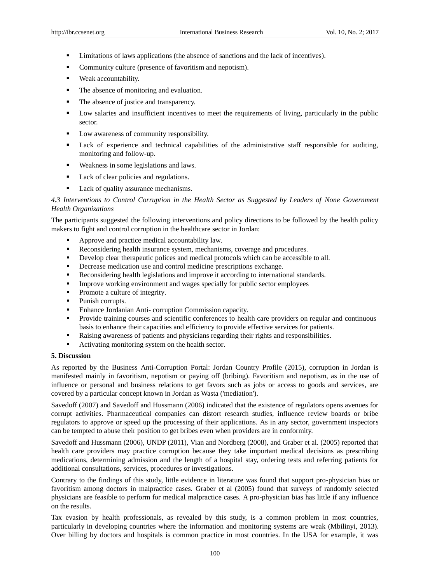- **EXECUTE:** Limitations of laws applications (the absence of sanctions and the lack of incentives).
- **•** Community culture (presence of favoritism and nepotism).
- **Weak accountability.**
- The absence of monitoring and evaluation.
- The absence of justice and transparency.
- Low salaries and insufficient incentives to meet the requirements of living, particularly in the public sector.
- **Low awareness of community responsibility.**
- Lack of experience and technical capabilities of the administrative staff responsible for auditing, monitoring and follow-up.
- Weakness in some legislations and laws.
- Lack of clear policies and regulations.
- Lack of quality assurance mechanisms.

# *4.3 Interventions to Control Corruption in the Health Sector as Suggested by Leaders of None Government Health Organizations*

The participants suggested the following interventions and policy directions to be followed by the health policy makers to fight and control corruption in the healthcare sector in Jordan:

- Approve and practice medical accountability law.
- Reconsidering health insurance system, mechanisms, coverage and procedures.
- Develop clear therapeutic polices and medical protocols which can be accessible to all.
- Decrease medication use and control medicine prescriptions exchange.
- Reconsidering health legislations and improve it according to international standards.
- Improve working environment and wages specially for public sector employees
- Promote a culture of integrity.
- Punish corrupts.
- Enhance Jordanian Anti- corruption Commission capacity.
- Provide training courses and scientific conferences to health care providers on regular and continuous basis to enhance their capacities and efficiency to provide effective services for patients.
- Raising awareness of patients and physicians regarding their rights and responsibilities.
- Activating monitoring system on the health sector.

# **5. Discussion**

As reported by the Business Anti-Corruption Portal: Jordan Country Profile (2015), corruption in Jordan is manifested mainly in favoritism, nepotism or paying off (bribing). Favoritism and nepotism, as in the use of influence or personal and business relations to get favors such as jobs or access to goods and services, are covered by a particular concept known in Jordan as Wasta ('mediation').

Savedoff (2007) and Savedoff and Hussmann (2006) indicated that the existence of regulators opens avenues for corrupt activities. Pharmaceutical companies can distort research studies, influence review boards or bribe regulators to approve or speed up the processing of their applications. As in any sector, government inspectors can be tempted to abuse their position to get bribes even when providers are in conformity.

Savedoff and Hussmann (2006), UNDP (2011), Vian and Nordberg (2008), and Graber et al. (2005) reported that health care providers may practice corruption because they take important medical decisions as prescribing medications, determining admission and the length of a hospital stay, ordering tests and referring patients for additional consultations, services, procedures or investigations.

Contrary to the findings of this study, little evidence in literature was found that support pro-physician bias or favoritism among doctors in malpractice cases. Graber et al (2005) found that surveys of randomly selected physicians are feasible to perform for medical malpractice cases. A pro-physician bias has little if any influence on the results.

Tax evasion by health professionals, as revealed by this study, is a common problem in most countries, particularly in developing countries where the information and monitoring systems are weak (Mbilinyi, 2013). Over billing by doctors and hospitals is common practice in most countries. In the USA for example, it was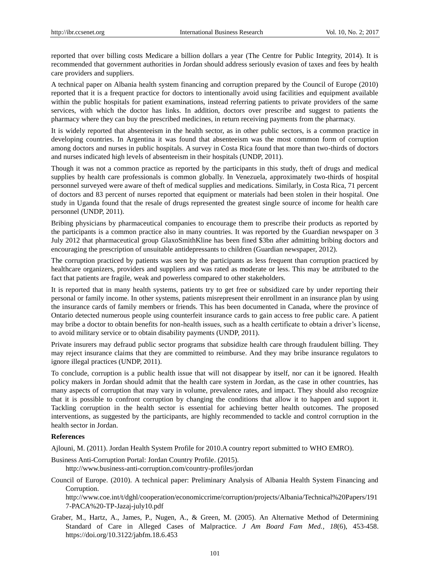reported that over billing costs Medicare a billion dollars a year (The Centre for Public Integrity, 2014). It is recommended that government authorities in Jordan should address seriously evasion of taxes and fees by health care providers and suppliers.

A technical paper on Albania health system financing and corruption prepared by the Council of Europe (2010) reported that it is a frequent practice for doctors to intentionally avoid using facilities and equipment available within the public hospitals for patient examinations, instead referring patients to private providers of the same services, with which the doctor has links. In addition, doctors over prescribe and suggest to patients the pharmacy where they can buy the prescribed medicines, in return receiving payments from the pharmacy.

It is widely reported that absenteeism in the health sector, as in other public sectors, is a common practice in developing countries. In Argentina it was found that absenteeism was the most common form of corruption among doctors and nurses in public hospitals. A survey in Costa Rica found that more than two-thirds of doctors and nurses indicated high levels of absenteeism in their hospitals (UNDP, 2011).

Though it was not a common practice as reported by the participants in this study, theft of drugs and medical supplies by health care professionals is common globally. In Venezuela, approximately two-thirds of hospital personnel surveyed were aware of theft of medical supplies and medications. Similarly, in Costa Rica, 71 percent of doctors and 83 percent of nurses reported that equipment or materials had been stolen in their hospital. One study in Uganda found that the resale of drugs represented the greatest single source of income for health care personnel (UNDP, 2011).

Bribing physicians by pharmaceutical companies to encourage them to prescribe their products as reported by the participants is a common practice also in many countries. It was reported by the Guardian newspaper on 3 July 2012 that pharmaceutical group GlaxoSmithKline has been fined \$3bn after admitting bribing doctors and encouraging the prescription of unsuitable antidepressants to children (Guardian newspaper, 2012).

The corruption practiced by patients was seen by the participants as less frequent than corruption practiced by healthcare organizers, providers and suppliers and was rated as moderate or less. This may be attributed to the fact that patients are fragile, weak and powerless compared to other stakeholders.

It is reported that in many health systems, patients try to get free or subsidized care by under reporting their personal or family income. In other systems, patients misrepresent their enrollment in an insurance plan by using the insurance cards of family members or friends. This has been documented in Canada, where the province of Ontario detected numerous people using counterfeit insurance cards to gain access to free public care. A patient may bribe a doctor to obtain benefits for non-health issues, such as a health certificate to obtain a driver's license, to avoid military service or to obtain disability payments (UNDP, 2011).

Private insurers may defraud public sector programs that subsidize health care through fraudulent billing. They may reject insurance claims that they are committed to reimburse. And they may bribe insurance regulators to ignore illegal practices (UNDP, 2011).

To conclude, corruption is a public health issue that will not disappear by itself, nor can it be ignored. Health policy makers in Jordan should admit that the health care system in Jordan, as the case in other countries, has many aspects of corruption that may vary in volume, prevalence rates, and impact. They should also recognize that it is possible to confront corruption by changing the conditions that allow it to happen and support it. Tackling corruption in the health sector is essential for achieving better health outcomes. The proposed interventions, as suggested by the participants, are highly recommended to tackle and control corruption in the health sector in Jordan.

#### **References**

Ajlouni, M. (2011). Jordan Health System Profile for 2010.A country report submitted to WHO EMRO).

Business Anti-Corruption Portal: Jordan Country Profile. (2015).

<http://www.business-anti-corruption.com/country-profiles/jordan>

Council of Europe. (2010). A technical paper: Preliminary Analysis of Albania Health System Financing and Corruption.

[http://www.coe.int/t/dghl/cooperation/economiccrime/corruption/projects/Albania/Technical%20Papers/191](http://www.coe.int/t/dghl/cooperation/economiccrime/corruption/projects/Albania/Technical%20Papers/1917-PACA%20-TP-Jazaj-july10.pdf) [7-PACA%20-TP-Jazaj-july10.pdf](http://www.coe.int/t/dghl/cooperation/economiccrime/corruption/projects/Albania/Technical%20Papers/1917-PACA%20-TP-Jazaj-july10.pdf)

Graber, M., Hartz, A., James, P., Nugen, A., & Green, M. (2005). An Alternative Method of Determining Standard of Care in Alleged Cases of Malpractice. *J Am Board Fam Med., 18*(6), 453-458. https://doi.org/10.3122/jabfm.18.6.453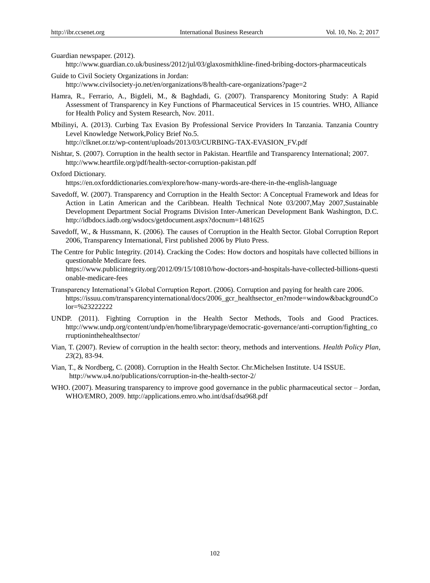Guardian newspaper. (2012).

<http://www.guardian.co.uk/business/2012/jul/03/glaxosmithkline-fined-bribing-doctors-pharmaceuticals>

- Guide to Civil Society Organizations in Jordan:
	- http://www.civilsociety-jo.net/en/organizations/8/health-care-organizations?page=2
- Hamra, R., Ferrario, A., Bigdeli, M., & Baghdadi, G. (2007). Transparency Monitoring Study: A Rapid Assessment of Transparency in Key Functions of Pharmaceutical Services in 15 countries. WHO, Alliance for Health Policy and System Research, Nov. 2011.

Mbilinyi, A. (2013). Curbing Tax Evasion By Professional Service Providers In Tanzania. Tanzania Country Level Knowledge Network,Policy Brief No.5.

[http://clknet.or.tz/wp-content/uploads/2013/03/CURBING-TAX-EVASION\\_FV.pdf](http://clknet.or.tz/wp-content/uploads/2013/03/CURBING-TAX-EVASION_FV.pdf)

Nishtar, S. (2007). Corruption in the health sector in Pakistan. Heartfile and Transparency International; 2007. <http://www.heartfile.org/pdf/health-sector-corruption-pakistan.pdf>

Oxford Dictionary.

<https://en.oxforddictionaries.com/explore/how-many-words-are-there-in-the-english-language>

- Savedoff, W. (2007). Transparency and Corruption in the Health Sector: A Conceptual Framework and Ideas for Action in Latin American and the Caribbean. Health Technical Note 03/2007,May 2007,Sustainable Development Department Social Programs Division Inter-American Development Bank Washington, D.C. <http://idbdocs.iadb.org/wsdocs/getdocument.aspx?docnum=1481625>
- Savedoff, W., & Hussmann, K. (2006). The causes of Corruption in the Health Sector. Global Corruption Report 2006, Transparency International, First published 2006 by Pluto Press.
- The Centre for Public Integrity. (2014). Cracking the Codes: How doctors and hospitals have collected billions in questionable Medicare fees. https://www.publicintegrity.org/2012/09/15/10810/how-doctors-and-hospitals-have-collected-billions-questi onable-medicare-fees
- Transparency International's Global Corruption Report. (2006). Corruption and paying for health care 2006. [https://issuu.com/transparencyinternational/docs/2006\\_gcr\\_healthsector\\_en?mode=window&backgroundCo](https://issuu.com/transparencyinternational/docs/2006_gcr_healthsector_en?mode=window&backgroundColor=%23222222) [lor=%23222222](https://issuu.com/transparencyinternational/docs/2006_gcr_healthsector_en?mode=window&backgroundColor=%23222222)
- UNDP. (2011). Fighting Corruption in the Health Sector Methods, Tools and Good Practices. [http://www.undp.org/content/undp/en/home/librarypage/democratic-governance/anti-corruption/fighting\\_co](http://www.undp.org/content/undp/en/home/librarypage/democratic-%20%20%20%20%20%20governance/anti-corruption/fighting_corruptioninthehealthsector/) [rruptioninthehealthsector/](http://www.undp.org/content/undp/en/home/librarypage/democratic-%20%20%20%20%20%20governance/anti-corruption/fighting_corruptioninthehealthsector/)
- Vian, T. (2007). Review of corruption in the health sector: theory, methods and interventions. *Health Policy Plan, 23*(2), 83-94.
- Vian, T., & Nordberg, C. (2008). Corruption in the Health Sector. Chr.Michelsen Institute. U4 ISSUE. <http://www.u4.no/publications/corruption-in-the-health-sector-2/>
- WHO. (2007). Measuring transparency to improve good governance in the public pharmaceutical sector Jordan, WHO/EMRO, 2009. <http://applications.emro.who.int/dsaf/dsa968.pdf>